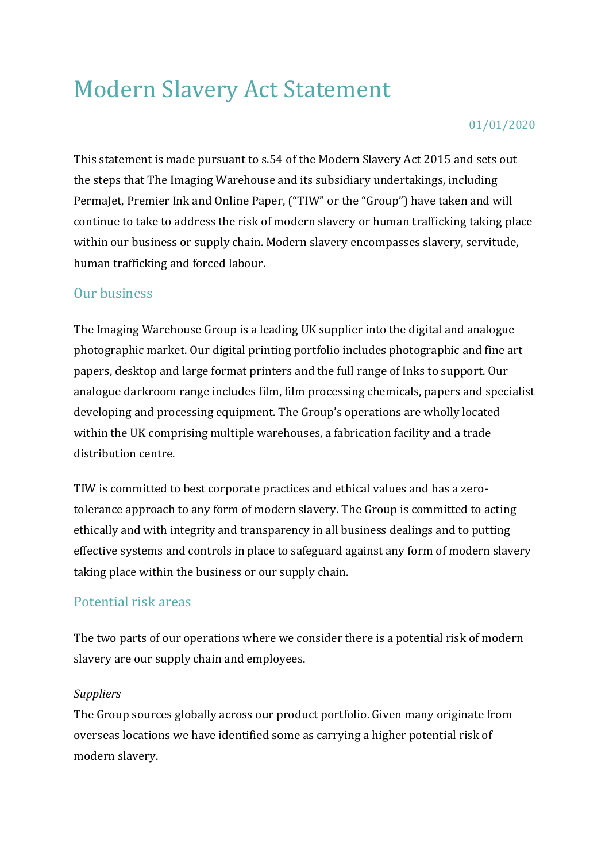# Modern Slavery Act Statement

#### 01/01/2020

This statement is made pursuant to s.54 of the Modern Slavery Act 2015 and sets out the steps that The Imaging Warehouse and its subsidiary undertakings, including PermaJet, Premier Ink and Online Paper, ("TIW" or the "Group") have taken and will continue to take to address the risk of modern slavery or human trafficking taking place within our business or supply chain. Modern slavery encompasses slavery, servitude, human trafficking and forced labour.

## Our business

The Imaging Warehouse Group is a leading UK supplier into the digital and analogue photographic market. Our digital printing portfolio includes photographic and fine art papers, desktop and large format printers and the full range of Inks to support. Our analogue darkroom range includes film, film processing chemicals, papers and specialist developing and processing equipment. The Group's operations are wholly located within the UK comprising multiple warehouses, a fabrication facility and a trade distribution centre.

TIW is committed to best corporate practices and ethical values and has a zerotolerance approach to any form of modern slavery. The Group is committed to acting ethically and with integrity and transparency in all business dealings and to putting effective systems and controls in place to safeguard against any form of modern slavery taking place within the business or our supply chain.

## Potential risk areas

The two parts of our operations where we consider there is a potential risk of modern slavery are our supply chain and employees.

#### *Suppliers*

The Group sources globally across our product portfolio. Given many originate from overseas locations we have identified some as carrying a higher potential risk of modern slavery.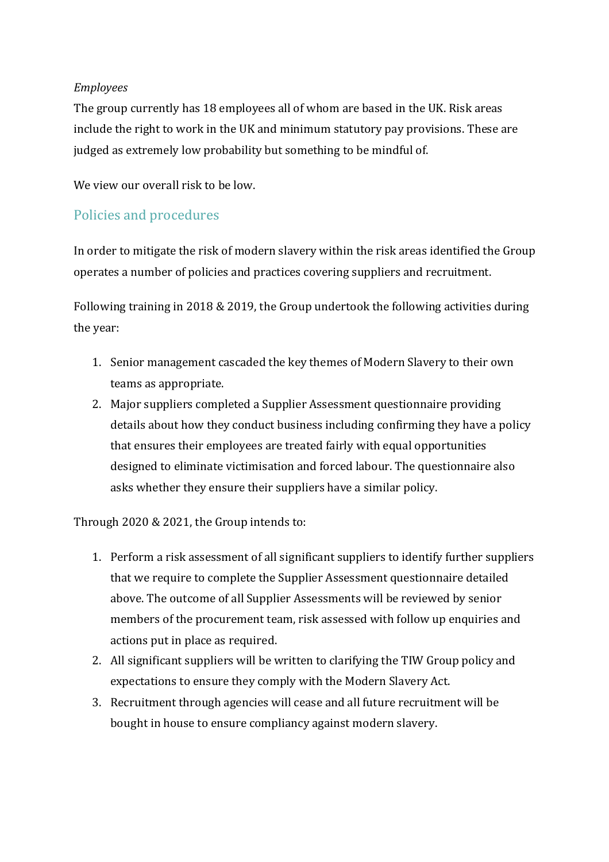#### *Employees*

The group currently has 18 employees all of whom are based in the UK. Risk areas include the right to work in the UK and minimum statutory pay provisions. These are judged as extremely low probability but something to be mindful of.

We view our overall risk to be low.

## Policies and procedures

In order to mitigate the risk of modern slavery within the risk areas identified the Group operates a number of policies and practices covering suppliers and recruitment.

Following training in 2018 & 2019, the Group undertook the following activities during the year:

- 1. Senior management cascaded the key themes of Modern Slavery to their own teams as appropriate.
- 2. Major suppliers completed a Supplier Assessment questionnaire providing details about how they conduct business including confirming they have a policy that ensures their employees are treated fairly with equal opportunities designed to eliminate victimisation and forced labour. The questionnaire also asks whether they ensure their suppliers have a similar policy.

Through 2020 & 2021, the Group intends to:

- 1. Perform a risk assessment of all significant suppliers to identify further suppliers that we require to complete the Supplier Assessment questionnaire detailed above. The outcome of all Supplier Assessments will be reviewed by senior members of the procurement team, risk assessed with follow up enquiries and actions put in place as required.
- 2. All significant suppliers will be written to clarifying the TIW Group policy and expectations to ensure they comply with the Modern Slavery Act.
- 3. Recruitment through agencies will cease and all future recruitment will be bought in house to ensure compliancy against modern slavery.